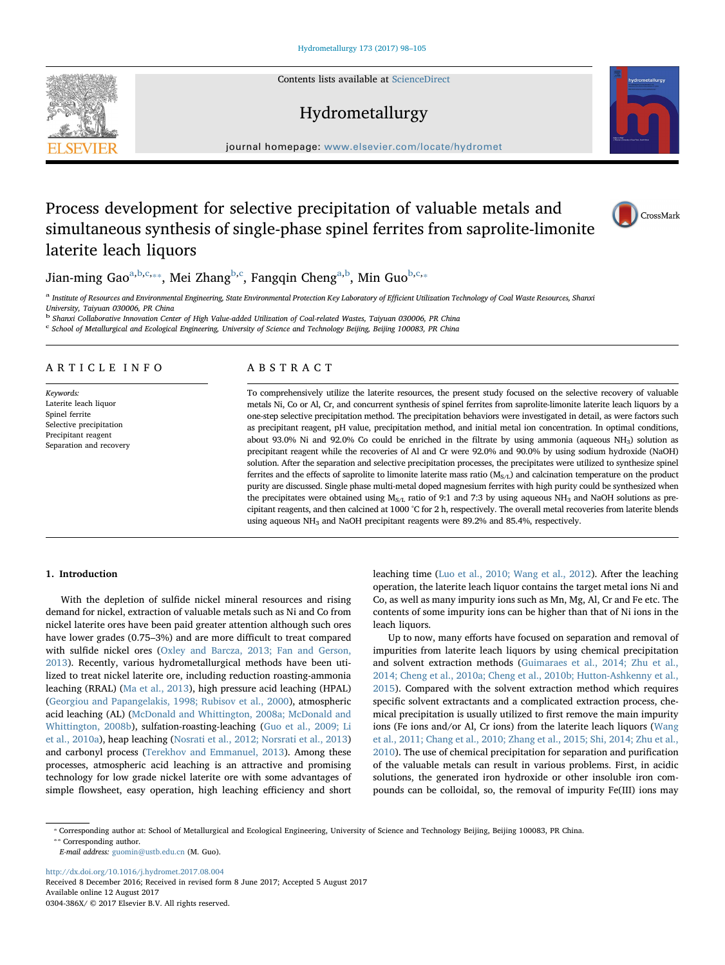Contents lists available at [ScienceDirect](http://www.sciencedirect.com/science/journal/0304386X)

## Hydrometallurgy

journal homepage: [www.elsevier.com/locate/hydromet](http://www.elsevier.com/locate/hydromet)

# Process development for selective precipitation of valuable metals and simultaneous synthesis of single-phase spinel ferrites from saprolite-limonite laterite leach liquors



Ji[a](#page-0-0)n-ming Gao $^{\mathrm{a,b,c_{**}}},$  $^{\mathrm{a,b,c_{**}}},$  $^{\mathrm{a,b,c_{**}}},$  $^{\mathrm{a,b,c_{**}}},$  Mei Zhang $^{\mathrm{b,c}},$  $^{\mathrm{b,c}},$  $^{\mathrm{b,c}},$  $^{\mathrm{b,c}},$  Fangqin Cheng $^{\mathrm{a,b}},$  $^{\mathrm{a,b}},$  $^{\mathrm{a,b}},$  Min Guo $^{\mathrm{b,c_{**}}}$ 

<span id="page-0-0"></span>a Institute of Resources and Environmental Engineering, State Environmental Protection Key Laboratory of Efficient Utilization Technology of Coal Waste Resources, Shanxi University, Taiyuan 030006, PR China

<span id="page-0-2"></span><span id="page-0-1"></span><sup>b</sup> Shanxi Collaborative Innovation Center of High Value-added Utilization of Coal-related Wastes, Taiyuan 030006, PR China <sup>c</sup> School of Metallurgical and Ecological Engineering, University of Science and Technology Beijing, Beijing 100083, PR China

### ARTICLE INFO

Keywords: Laterite leach liquor Spinel ferrite Selective precipitation Precipitant reagent Separation and recovery

## ABSTRACT

To comprehensively utilize the laterite resources, the present study focused on the selective recovery of valuable metals Ni, Co or Al, Cr, and concurrent synthesis of spinel ferrites from saprolite-limonite laterite leach liquors by a one-step selective precipitation method. The precipitation behaviors were investigated in detail, as were factors such as precipitant reagent, pH value, precipitation method, and initial metal ion concentration. In optimal conditions, about 93.0% Ni and 92.0% Co could be enriched in the filtrate by using ammonia (aqueous NH3) solution as precipitant reagent while the recoveries of Al and Cr were 92.0% and 90.0% by using sodium hydroxide (NaOH) solution. After the separation and selective precipitation processes, the precipitates were utilized to synthesize spinel ferrites and the effects of saprolite to limonite laterite mass ratio  $(M<sub>S/L</sub>)$  and calcination temperature on the product purity are discussed. Single phase multi-metal doped magnesium ferrites with high purity could be synthesized when the precipitates were obtained using  $M_{S/L}$  ratio of 9:1 and 7:3 by using aqueous NH<sub>3</sub> and NaOH solutions as precipitant reagents, and then calcined at 1000 °C for 2 h, respectively. The overall metal recoveries from laterite blends using aqueous NH<sub>3</sub> and NaOH precipitant reagents were 89.2% and 85.4%, respectively.

#### 1. Introduction

With the depletion of sulfide nickel mineral resources and rising demand for nickel, extraction of valuable metals such as Ni and Co from nickel laterite ores have been paid greater attention although such ores have lower grades (0.75–3%) and are more difficult to treat compared with sulfide nickel ores [\(Oxley and Barcza, 2013; Fan and Gerson,](#page--1-0) [2013\)](#page--1-0). Recently, various hydrometallurgical methods have been utilized to treat nickel laterite ore, including reduction roasting-ammonia leaching (RRAL) [\(Ma et al., 2013](#page--1-1)), high pressure acid leaching (HPAL) ([Georgiou and Papangelakis, 1998; Rubisov et al., 2000](#page--1-2)), atmospheric acid leaching (AL) [\(McDonald and Whittington, 2008a; McDonald and](#page--1-3) [Whittington, 2008b\)](#page--1-3), sulfation-roasting-leaching ([Guo et al., 2009; Li](#page--1-4) [et al., 2010a](#page--1-4)), heap leaching [\(Nosrati et al., 2012; Norsrati et al., 2013\)](#page--1-5) and carbonyl process ([Terekhov and Emmanuel, 2013\)](#page--1-6). Among these processes, atmospheric acid leaching is an attractive and promising technology for low grade nickel laterite ore with some advantages of simple flowsheet, easy operation, high leaching efficiency and short leaching time ([Luo et al., 2010; Wang et al., 2012\)](#page--1-7). After the leaching operation, the laterite leach liquor contains the target metal ions Ni and Co, as well as many impurity ions such as Mn, Mg, Al, Cr and Fe etc. The contents of some impurity ions can be higher than that of Ni ions in the leach liquors.

Up to now, many efforts have focused on separation and removal of impurities from laterite leach liquors by using chemical precipitation and solvent extraction methods ([Guimaraes et al., 2014; Zhu et al.,](#page--1-8) [2014; Cheng et al., 2010a; Cheng et al., 2010b; Hutton-Ashkenny et al.,](#page--1-8) [2015\)](#page--1-8). Compared with the solvent extraction method which requires specific solvent extractants and a complicated extraction process, chemical precipitation is usually utilized to first remove the main impurity ions (Fe ions and/or Al, Cr ions) from the laterite leach liquors ([Wang](#page--1-9) [et al., 2011; Chang et al., 2010; Zhang et al., 2015; Shi, 2014; Zhu et al.,](#page--1-9) [2010\)](#page--1-9). The use of chemical precipitation for separation and purification of the valuable metals can result in various problems. First, in acidic solutions, the generated iron hydroxide or other insoluble iron compounds can be colloidal, so, the removal of impurity Fe(III) ions may

<span id="page-0-4"></span><span id="page-0-3"></span>⁎ Corresponding author at: School of Metallurgical and Ecological Engineering, University of Science and Technology Beijing, Beijing 100083, PR China.

⁎⁎ Corresponding author.

<http://dx.doi.org/10.1016/j.hydromet.2017.08.004>

Received 8 December 2016; Received in revised form 8 June 2017; Accepted 5 August 2017 Available online 12 August 2017 0304-386X/ © 2017 Elsevier B.V. All rights reserved.



E-mail address: [guomin@ustb.edu.cn](mailto:guomin@ustb.edu.cn) (M. Guo).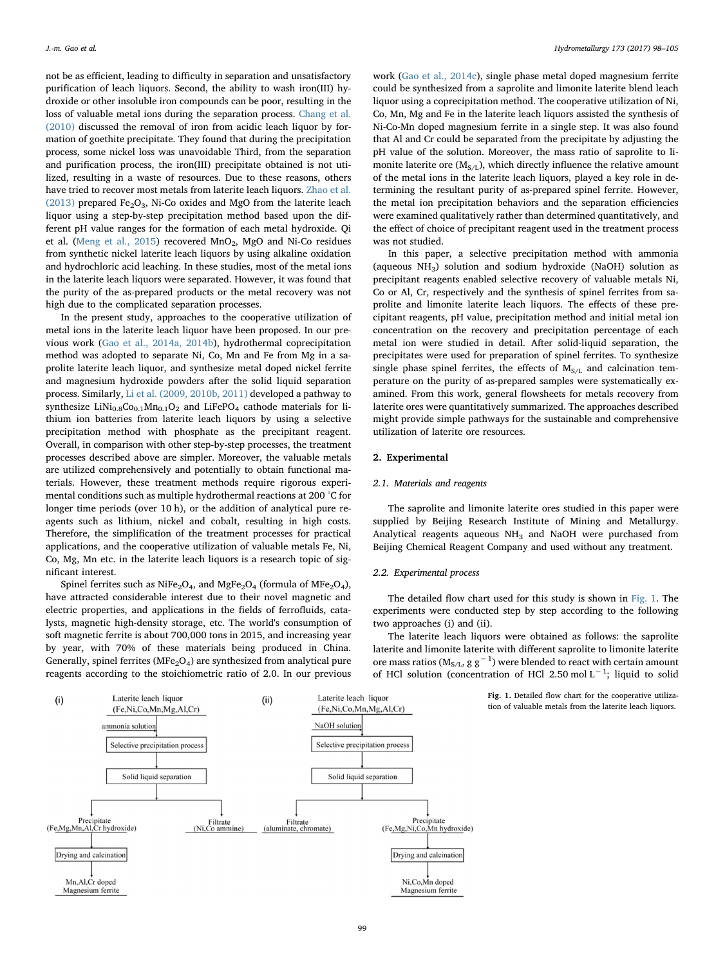not be as efficient, leading to difficulty in separation and unsatisfactory purification of leach liquors. Second, the ability to wash iron(III) hydroxide or other insoluble iron compounds can be poor, resulting in the loss of valuable metal ions during the separation process. [Chang et al.](#page--1-10) [\(2010\)](#page--1-10) discussed the removal of iron from acidic leach liquor by formation of goethite precipitate. They found that during the precipitation process, some nickel loss was unavoidable Third, from the separation and purification process, the iron(III) precipitate obtained is not utilized, resulting in a waste of resources. Due to these reasons, others have tried to recover most metals from laterite leach liquors. [Zhao et al.](#page--1-11) [\(2013\)](#page--1-11) prepared Fe<sub>2</sub>O<sub>3</sub>, Ni-Co oxides and MgO from the laterite leach liquor using a step-by-step precipitation method based upon the different pH value ranges for the formation of each metal hydroxide. Qi et al. ([Meng et al., 2015](#page--1-12)) recovered  $MnO<sub>2</sub>$ , MgO and Ni-Co residues from synthetic nickel laterite leach liquors by using alkaline oxidation and hydrochloric acid leaching. In these studies, most of the metal ions in the laterite leach liquors were separated. However, it was found that the purity of the as-prepared products or the metal recovery was not high due to the complicated separation processes.

In the present study, approaches to the cooperative utilization of metal ions in the laterite leach liquor have been proposed. In our previous work ([Gao et al., 2014a, 2014b](#page--1-13)), hydrothermal coprecipitation method was adopted to separate Ni, Co, Mn and Fe from Mg in a saprolite laterite leach liquor, and synthesize metal doped nickel ferrite and magnesium hydroxide powders after the solid liquid separation process. Similarly, [Li et al. \(2009, 2010b, 2011\)](#page--1-14) developed a pathway to synthesize LiNi<sub>0.8</sub>Co<sub>0.1</sub>Mn<sub>0.1</sub>O<sub>2</sub> and LiFePO<sub>4</sub> cathode materials for lithium ion batteries from laterite leach liquors by using a selective precipitation method with phosphate as the precipitant reagent. Overall, in comparison with other step-by-step processes, the treatment processes described above are simpler. Moreover, the valuable metals are utilized comprehensively and potentially to obtain functional materials. However, these treatment methods require rigorous experimental conditions such as multiple hydrothermal reactions at 200 °C for longer time periods (over 10 h), or the addition of analytical pure reagents such as lithium, nickel and cobalt, resulting in high costs. Therefore, the simplification of the treatment processes for practical applications, and the cooperative utilization of valuable metals Fe, Ni, Co, Mg, Mn etc. in the laterite leach liquors is a research topic of significant interest.

Spinel ferrites such as NiFe<sub>2</sub>O<sub>4</sub>, and MgFe<sub>2</sub>O<sub>4</sub> (formula of MFe<sub>2</sub>O<sub>4</sub>), have attracted considerable interest due to their novel magnetic and electric properties, and applications in the fields of ferrofluids, catalysts, magnetic high-density storage, etc. The world's consumption of soft magnetic ferrite is about 700,000 tons in 2015, and increasing year by year, with 70% of these materials being produced in China. Generally, spinel ferrites ( $MFe<sub>2</sub>O<sub>4</sub>$ ) are synthesized from analytical pure reagents according to the stoichiometric ratio of 2.0. In our previous

work [\(Gao et al., 2014c\)](#page--1-15), single phase metal doped magnesium ferrite could be synthesized from a saprolite and limonite laterite blend leach liquor using a coprecipitation method. The cooperative utilization of Ni, Co, Mn, Mg and Fe in the laterite leach liquors assisted the synthesis of Ni-Co-Mn doped magnesium ferrite in a single step. It was also found that Al and Cr could be separated from the precipitate by adjusting the pH value of the solution. Moreover, the mass ratio of saprolite to limonite laterite ore  $(M_{S/L})$ , which directly influence the relative amount of the metal ions in the laterite leach liquors, played a key role in determining the resultant purity of as-prepared spinel ferrite. However, the metal ion precipitation behaviors and the separation efficiencies were examined qualitatively rather than determined quantitatively, and the effect of choice of precipitant reagent used in the treatment process was not studied.

In this paper, a selective precipitation method with ammonia (aqueous  $NH<sub>3</sub>$ ) solution and sodium hydroxide (NaOH) solution as precipitant reagents enabled selective recovery of valuable metals Ni, Co or Al, Cr, respectively and the synthesis of spinel ferrites from saprolite and limonite laterite leach liquors. The effects of these precipitant reagents, pH value, precipitation method and initial metal ion concentration on the recovery and precipitation percentage of each metal ion were studied in detail. After solid-liquid separation, the precipitates were used for preparation of spinel ferrites. To synthesize single phase spinel ferrites, the effects of  $M_{S/L}$  and calcination temperature on the purity of as-prepared samples were systematically examined. From this work, general flowsheets for metals recovery from laterite ores were quantitatively summarized. The approaches described might provide simple pathways for the sustainable and comprehensive utilization of laterite ore resources.

#### 2. Experimental

#### 2.1. Materials and reagents

The saprolite and limonite laterite ores studied in this paper were supplied by Beijing Research Institute of Mining and Metallurgy. Analytical reagents aqueous  $NH<sub>3</sub>$  and NaOH were purchased from Beijing Chemical Reagent Company and used without any treatment.

#### 2.2. Experimental process

The detailed flow chart used for this study is shown in [Fig. 1](#page-1-0). The experiments were conducted step by step according to the following two approaches (i) and (ii).

The laterite leach liquors were obtained as follows: the saprolite laterite and limonite laterite with different saprolite to limonite laterite ore mass ratios ( $M_{S/L}$ , g g<sup>-1</sup>) were blended to react with certain amount of HCl solution (concentration of HCl 2.50 mol L<sup>-1</sup>; liquid to solid

> Fig. 1. Detailed flow chart for the cooperative utilization of valuable metals from the laterite leach liquors.

<span id="page-1-0"></span>